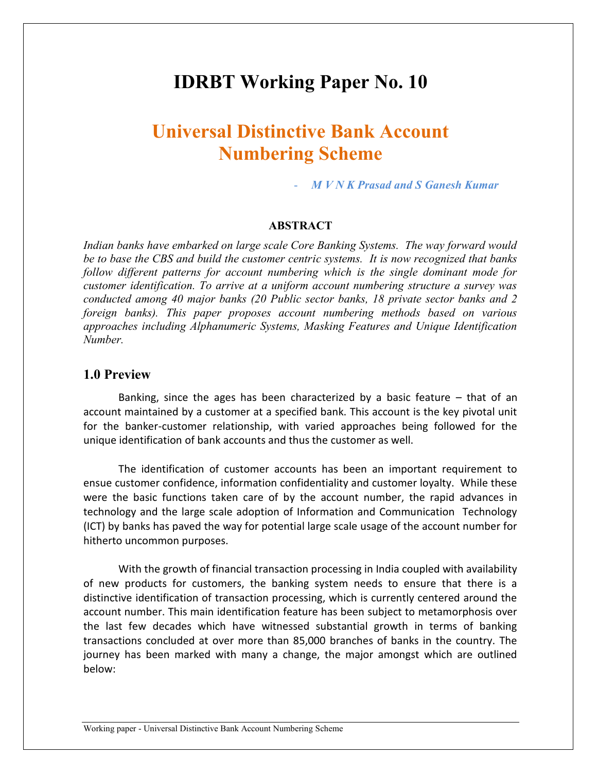# **IDRBT Working Paper No. 10**

# **Universal Distinctive Bank Account Numbering Scheme**

- *M V N K Prasad and S Ganesh Kumar*

#### **ABSTRACT**

*Indian banks have embarked on large scale Core Banking Systems. The way forward would be to base the CBS and build the customer centric systems. It is now recognized that banks follow different patterns for account numbering which is the single dominant mode for customer identification. To arrive at a uniform account numbering structure a survey was conducted among 40 major banks (20 Public sector banks, 18 private sector banks and 2 foreign banks). This paper proposes account numbering methods based on various approaches including Alphanumeric Systems, Masking Features and Unique Identification Number.*

#### **1.0 Preview**

Banking, since the ages has been characterized by a basic feature  $-$  that of an account maintained by a customer at a specified bank. This account is the key pivotal unit for the banker-customer relationship, with varied approaches being followed for the unique identification of bank accounts and thus the customer as well.

The identification of customer accounts has been an important requirement to ensue customer confidence, information confidentiality and customer loyalty. While these were the basic functions taken care of by the account number, the rapid advances in technology and the large scale adoption of Information and Communication Technology (ICT) by banks has paved the way for potential large scale usage of the account number for hitherto uncommon purposes.

With the growth of financial transaction processing in India coupled with availability of new products for customers, the banking system needs to ensure that there is a distinctive identification of transaction processing, which is currently centered around the account number. This main identification feature has been subject to metamorphosis over the last few decades which have witnessed substantial growth in terms of banking transactions concluded at over more than 85,000 branches of banks in the country. The journey has been marked with many a change, the major amongst which are outlined below: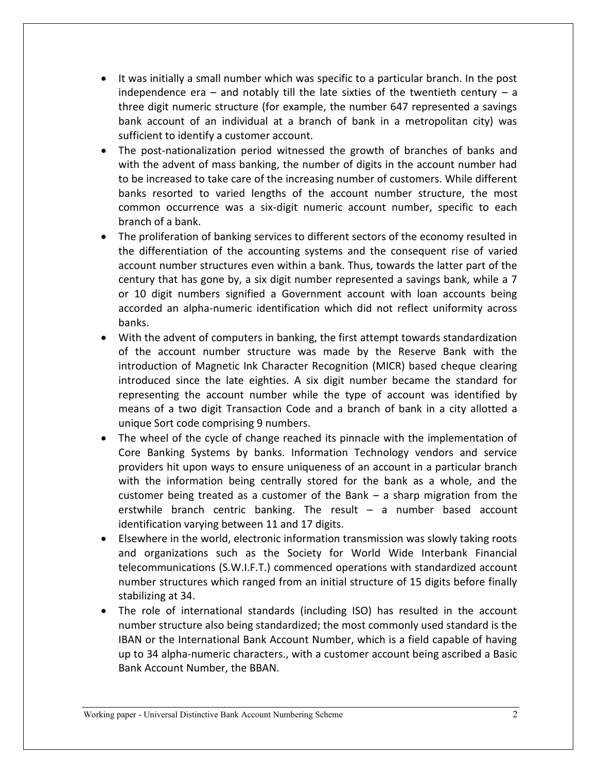- It was initially a small number which was specific to a particular branch. In the post independence era – and notably till the late sixties of the twentieth century – a three digit numeric structure (for example, the number 647 represented a savings bank account of an individual at a branch of bank in a metropolitan city) was sufficient to identify a customer account.
- The post-nationalization period witnessed the growth of branches of banks and with the advent of mass banking, the number of digits in the account number had to be increased to take care of the increasing number of customers. While different banks resorted to varied lengths of the account number structure, the most common occurrence was a six-digit numeric account number, specific to each branch of a bank.
- The proliferation of banking services to different sectors of the economy resulted in the differentiation of the accounting systems and the consequent rise of varied account number structures even within a bank. Thus, towards the latter part of the century that has gone by, a six digit number represented a savings bank, while a 7 or 10 digit numbers signified a Government account with loan accounts being accorded an alpha-numeric identification which did not reflect uniformity across banks.
- With the advent of computers in banking, the first attempt towards standardization of the account number structure was made by the Reserve Bank with the introduction of Magnetic Ink Character Recognition (MICR) based cheque clearing introduced since the late eighties. A six digit number became the standard for representing the account number while the type of account was identified by means of a two digit Transaction Code and a branch of bank in a city allotted a unique Sort code comprising 9 numbers.
- The wheel of the cycle of change reached its pinnacle with the implementation of Core Banking Systems by banks. Information Technology vendors and service providers hit upon ways to ensure uniqueness of an account in a particular branch with the information being centrally stored for the bank as a whole, and the customer being treated as a customer of the Bank – a sharp migration from the erstwhile branch centric banking. The result – a number based account identification varying between 11 and 17 digits.
- Elsewhere in the world, electronic information transmission was slowly taking roots and organizations such as the Society for World Wide Interbank Financial telecommunications (S.W.I.F.T.) commenced operations with standardized account number structures which ranged from an initial structure of 15 digits before finally stabilizing at 34.
- The role of international standards (including ISO) has resulted in the account number structure also being standardized; the most commonly used standard is the IBAN or the International Bank Account Number, which is a field capable of having up to 34 alpha-numeric characters., with a customer account being ascribed a Basic Bank Account Number, the BBAN.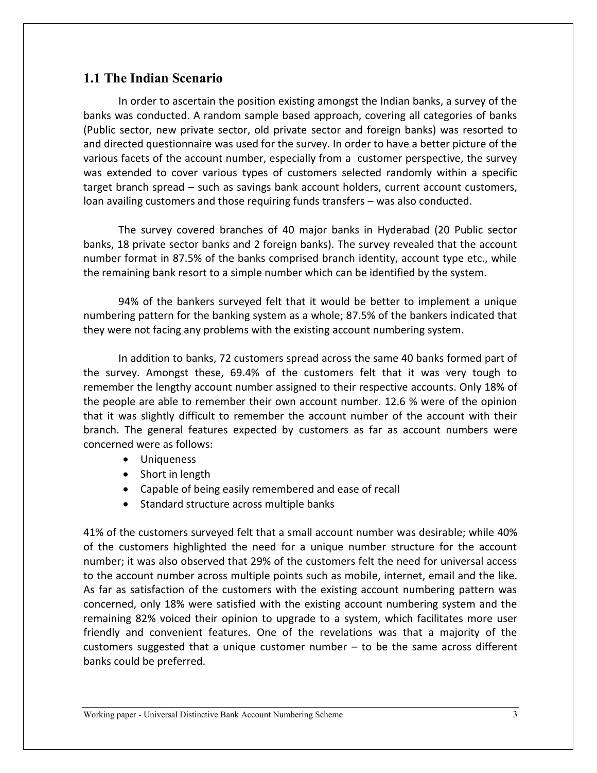# **1.1 The Indian Scenario**

In order to ascertain the position existing amongst the Indian banks, a survey of the banks was conducted. A random sample based approach, covering all categories of banks (Public sector, new private sector, old private sector and foreign banks) was resorted to and directed questionnaire was used for the survey. In order to have a better picture of the various facets of the account number, especially from a customer perspective, the survey was extended to cover various types of customers selected randomly within a specific target branch spread – such as savings bank account holders, current account customers, loan availing customers and those requiring funds transfers – was also conducted.

The survey covered branches of 40 major banks in Hyderabad (20 Public sector banks, 18 private sector banks and 2 foreign banks). The survey revealed that the account number format in 87.5% of the banks comprised branch identity, account type etc., while the remaining bank resort to a simple number which can be identified by the system.

94% of the bankers surveyed felt that it would be better to implement a unique numbering pattern for the banking system as a whole; 87.5% of the bankers indicated that they were not facing any problems with the existing account numbering system.

In addition to banks, 72 customers spread across the same 40 banks formed part of the survey. Amongst these, 69.4% of the customers felt that it was very tough to remember the lengthy account number assigned to their respective accounts. Only 18% of the people are able to remember their own account number. 12.6 % were of the opinion that it was slightly difficult to remember the account number of the account with their branch. The general features expected by customers as far as account numbers were concerned were as follows:

- Uniqueness
- Short in length
- Capable of being easily remembered and ease of recall
- Standard structure across multiple banks

41% of the customers surveyed felt that a small account number was desirable; while 40% of the customers highlighted the need for a unique number structure for the account number; it was also observed that 29% of the customers felt the need for universal access to the account number across multiple points such as mobile, internet, email and the like. As far as satisfaction of the customers with the existing account numbering pattern was concerned, only 18% were satisfied with the existing account numbering system and the remaining 82% voiced their opinion to upgrade to a system, which facilitates more user friendly and convenient features. One of the revelations was that a majority of the customers suggested that a unique customer number – to be the same across different banks could be preferred.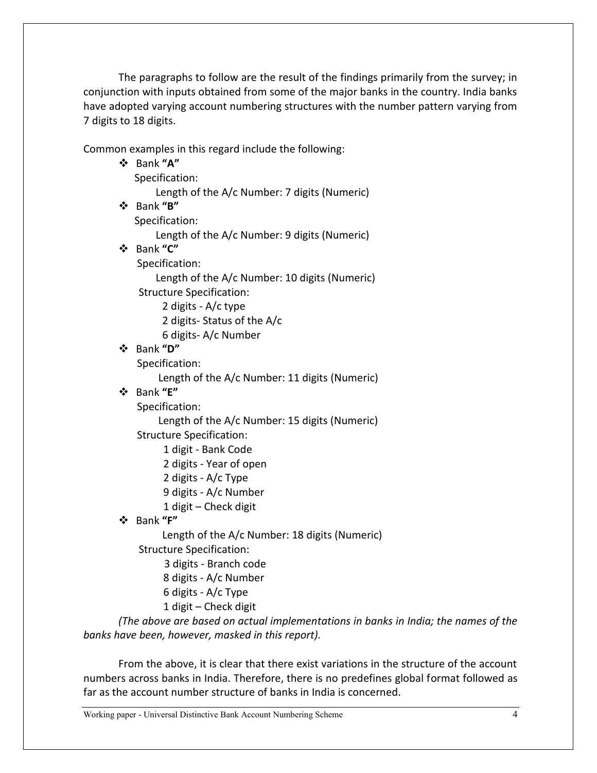The paragraphs to follow are the result of the findings primarily from the survey; in conjunction with inputs obtained from some of the major banks in the country. India banks have adopted varying account numbering structures with the number pattern varying from 7 digits to 18 digits.

Common examples in this regard include the following:

|  | common champies in this regard include the ronowing.                               |
|--|------------------------------------------------------------------------------------|
|  | ❖ Bank "A"                                                                         |
|  | Specification:                                                                     |
|  | Length of the A/c Number: 7 digits (Numeric)                                       |
|  | ❖ Bank "B"                                                                         |
|  | Specification:                                                                     |
|  | Length of the A/c Number: 9 digits (Numeric)                                       |
|  | ❖ Bank "C"                                                                         |
|  | Specification:                                                                     |
|  | Length of the A/c Number: 10 digits (Numeric)                                      |
|  | <b>Structure Specification:</b>                                                    |
|  | 2 digits - A/c type                                                                |
|  | 2 digits-Status of the A/c                                                         |
|  | 6 digits-A/c Number                                                                |
|  | ❖ Bank "D"                                                                         |
|  | Specification:                                                                     |
|  | Length of the A/c Number: 11 digits (Numeric)                                      |
|  | ❖ Bank "E"                                                                         |
|  | Specification:                                                                     |
|  | Length of the A/c Number: 15 digits (Numeric)                                      |
|  | <b>Structure Specification:</b>                                                    |
|  | 1 digit - Bank Code                                                                |
|  | 2 digits - Year of open                                                            |
|  | 2 digits - A/c Type                                                                |
|  | 9 digits - A/c Number                                                              |
|  | 1 digit - Check digit                                                              |
|  | ❖ Bank "F"                                                                         |
|  | Length of the A/c Number: 18 digits (Numeric)                                      |
|  | <b>Structure Specification:</b>                                                    |
|  | 3 digits - Branch code                                                             |
|  | 8 digits - A/c Number                                                              |
|  | 6 digits - A/c Type                                                                |
|  | 1 digit - Check digit                                                              |
|  | (The above are based on actual implementations in banks in India; the names of the |
|  | banks have been, however, masked in this report).                                  |

From the above, it is clear that there exist variations in the structure of the account numbers across banks in India. Therefore, there is no predefines global format followed as far as the account number structure of banks in India is concerned.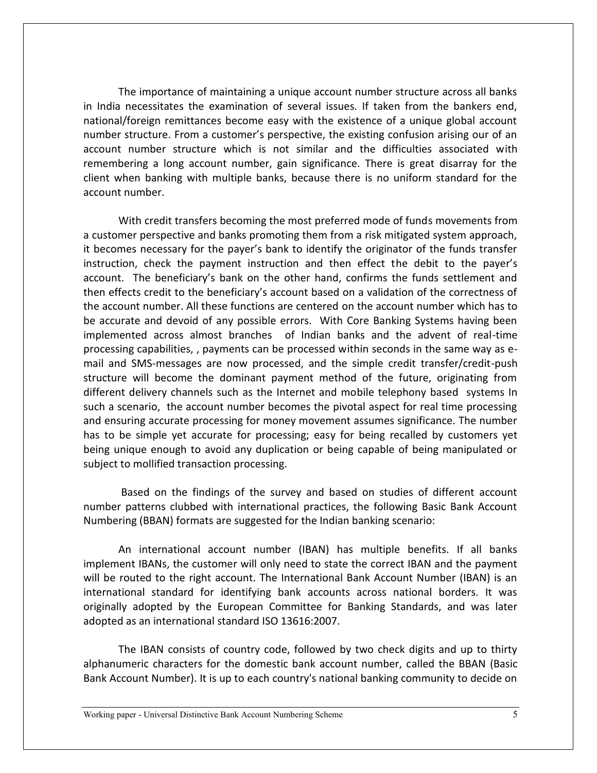The importance of maintaining a unique account number structure across all banks in India necessitates the examination of several issues. If taken from the bankers end, national/foreign remittances become easy with the existence of a unique global account number structure. From a customer's perspective, the existing confusion arising our of an account number structure which is not similar and the difficulties associated with remembering a long account number, gain significance. There is great disarray for the client when banking with multiple banks, because there is no uniform standard for the account number.

With credit transfers becoming the most preferred mode of funds movements from a customer perspective and banks promoting them from a risk mitigated system approach, it becomes necessary for the payer's bank to identify the originator of the funds transfer instruction, check the payment instruction and then effect the debit to the payer's account. The beneficiary's bank on the other hand, confirms the funds settlement and then effects credit to the beneficiary's account based on a validation of the correctness of the account number. All these functions are centered on the account number which has to be accurate and devoid of any possible errors. With Core Banking Systems having been implemented across almost branches of Indian banks and the advent of real-time processing capabilities, , payments can be processed within seconds in the same way as email and SMS-messages are now processed, and the simple credit transfer/credit-push structure will become the dominant payment method of the future, originating from different delivery channels such as the Internet and mobile telephony based systems In such a scenario, the account number becomes the pivotal aspect for real time processing and ensuring accurate processing for money movement assumes significance. The number has to be simple yet accurate for processing; easy for being recalled by customers yet being unique enough to avoid any duplication or being capable of being manipulated or subject to mollified transaction processing.

Based on the findings of the survey and based on studies of different account number patterns clubbed with international practices, the following Basic Bank Account Numbering (BBAN) formats are suggested for the Indian banking scenario:

An international account number (IBAN) has multiple benefits. If all banks implement IBANs, the customer will only need to state the correct IBAN and the payment will be routed to the right account. The International Bank Account Number (IBAN) is an international standard for identifying bank accounts across national borders. It was originally adopted by the European Committee for Banking Standards, and was later adopted as an international standard ISO 13616:2007.

The IBAN consists of country code, followed by two check digits and up to thirty alphanumeric characters for the domestic bank account number, called the BBAN (Basic Bank Account Number). It is up to each country's national banking community to decide on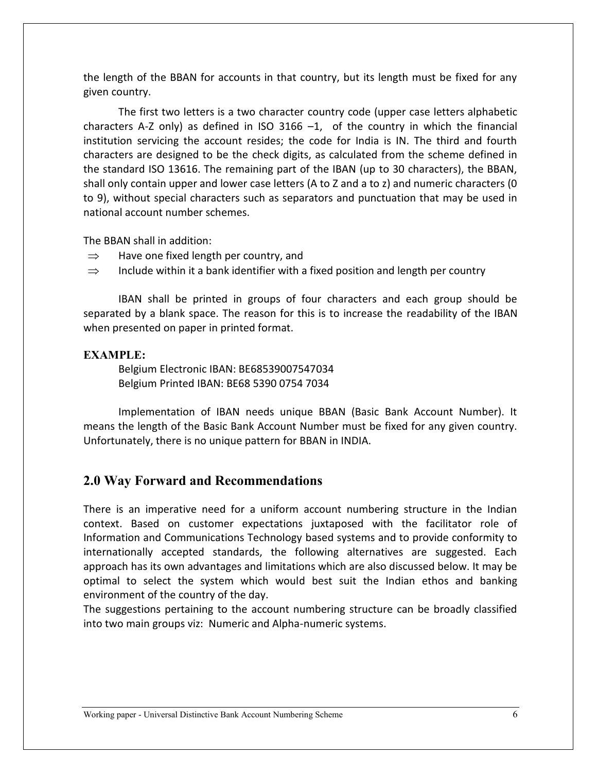the length of the BBAN for accounts in that country, but its length must be fixed for any given country.

The first two letters is a two character country code (upper case letters alphabetic characters A-Z only) as defined in ISO 3166  $-1$ , of the country in which the financial institution servicing the account resides; the code for India is IN. The third and fourth characters are designed to be the check digits, as calculated from the scheme defined in the standard ISO 13616. The remaining part of the IBAN (up to 30 characters), the BBAN, shall only contain upper and lower case letters (A to Z and a to z) and numeric characters (0 to 9), without special characters such as separators and punctuation that may be used in national account number schemes.

The BBAN shall in addition:

- $\Rightarrow$  Have one fixed length per country, and
- $\Rightarrow$  Include within it a bank identifier with a fixed position and length per country

IBAN shall be printed in groups of four characters and each group should be separated by a blank space. The reason for this is to increase the readability of the IBAN when presented on paper in printed format.

#### **EXAMPLE:**

Belgium Electronic IBAN: BE68539007547034 Belgium Printed IBAN: BE68 5390 0754 7034

Implementation of IBAN needs unique BBAN (Basic Bank Account Number). It means the length of the Basic Bank Account Number must be fixed for any given country. Unfortunately, there is no unique pattern for BBAN in INDIA.

## **2.0 Way Forward and Recommendations**

There is an imperative need for a uniform account numbering structure in the Indian context. Based on customer expectations juxtaposed with the facilitator role of Information and Communications Technology based systems and to provide conformity to internationally accepted standards, the following alternatives are suggested. Each approach has its own advantages and limitations which are also discussed below. It may be optimal to select the system which would best suit the Indian ethos and banking environment of the country of the day.

The suggestions pertaining to the account numbering structure can be broadly classified into two main groups viz: Numeric and Alpha-numeric systems.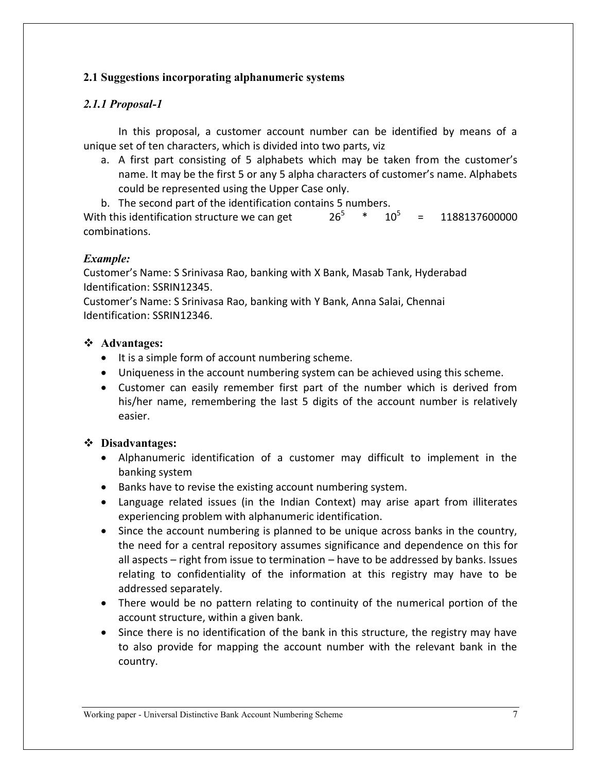## **2.1 Suggestions incorporating alphanumeric systems**

## *2.1.1 Proposal-1*

In this proposal, a customer account number can be identified by means of a unique set of ten characters, which is divided into two parts, viz

- a. A first part consisting of 5 alphabets which may be taken from the customer's name. It may be the first 5 or any 5 alpha characters of customer's name. Alphabets could be represented using the Upper Case only.
- b. The second part of the identification contains 5 numbers.

With this identification structure we can get  $*$  10<sup>5</sup> = 1188137600000 combinations.

## *Example:*

Customer's Name: S Srinivasa Rao, banking with X Bank, Masab Tank, Hyderabad Identification: SSRIN12345.

Customer's Name: S Srinivasa Rao, banking with Y Bank, Anna Salai, Chennai Identification: SSRIN12346.

## **Advantages:**

- It is a simple form of account numbering scheme.
- Uniqueness in the account numbering system can be achieved using this scheme.
- Customer can easily remember first part of the number which is derived from his/her name, remembering the last 5 digits of the account number is relatively easier.

- Alphanumeric identification of a customer may difficult to implement in the banking system
- Banks have to revise the existing account numbering system.
- Language related issues (in the Indian Context) may arise apart from illiterates experiencing problem with alphanumeric identification.
- Since the account numbering is planned to be unique across banks in the country, the need for a central repository assumes significance and dependence on this for all aspects – right from issue to termination – have to be addressed by banks. Issues relating to confidentiality of the information at this registry may have to be addressed separately.
- There would be no pattern relating to continuity of the numerical portion of the account structure, within a given bank.
- Since there is no identification of the bank in this structure, the registry may have to also provide for mapping the account number with the relevant bank in the country.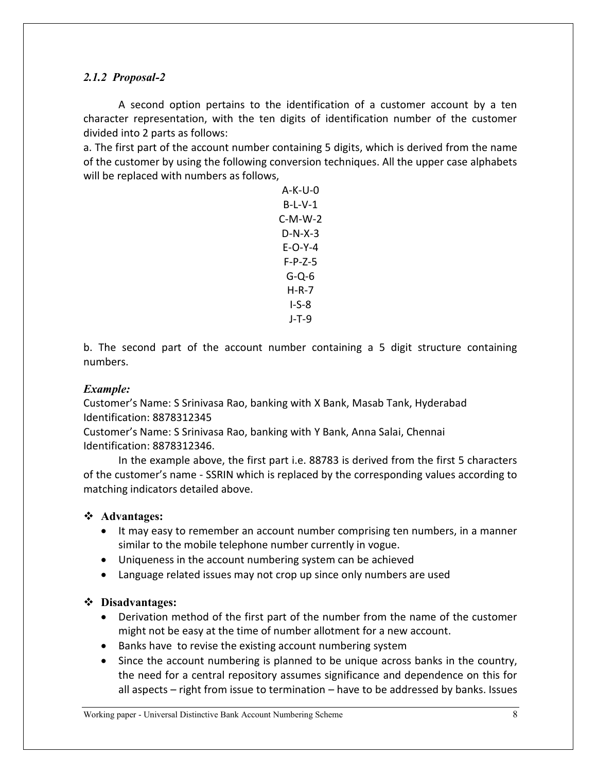## *2.1.2 Proposal-2*

A second option pertains to the identification of a customer account by a ten character representation, with the ten digits of identification number of the customer divided into 2 parts as follows:

a. The first part of the account number containing 5 digits, which is derived from the name of the customer by using the following conversion techniques. All the upper case alphabets will be replaced with numbers as follows,

> A-K-U-0 B-L-V-1 C-M-W-2 D-N-X-3 E-O-Y-4 F-P-Z-5 G-Q-6 H-R-7 I-S-8 J-T-9

b. The second part of the account number containing a 5 digit structure containing numbers.

## *Example:*

Customer's Name: S Srinivasa Rao, banking with X Bank, Masab Tank, Hyderabad Identification: 8878312345

Customer's Name: S Srinivasa Rao, banking with Y Bank, Anna Salai, Chennai Identification: 8878312346.

In the example above, the first part i.e. 88783 is derived from the first 5 characters of the customer's name - SSRIN which is replaced by the corresponding values according to matching indicators detailed above.

## **Advantages:**

- It may easy to remember an account number comprising ten numbers, in a manner similar to the mobile telephone number currently in vogue.
- Uniqueness in the account numbering system can be achieved
- Language related issues may not crop up since only numbers are used

- Derivation method of the first part of the number from the name of the customer might not be easy at the time of number allotment for a new account.
- Banks have to revise the existing account numbering system
- Since the account numbering is planned to be unique across banks in the country, the need for a central repository assumes significance and dependence on this for all aspects – right from issue to termination – have to be addressed by banks. Issues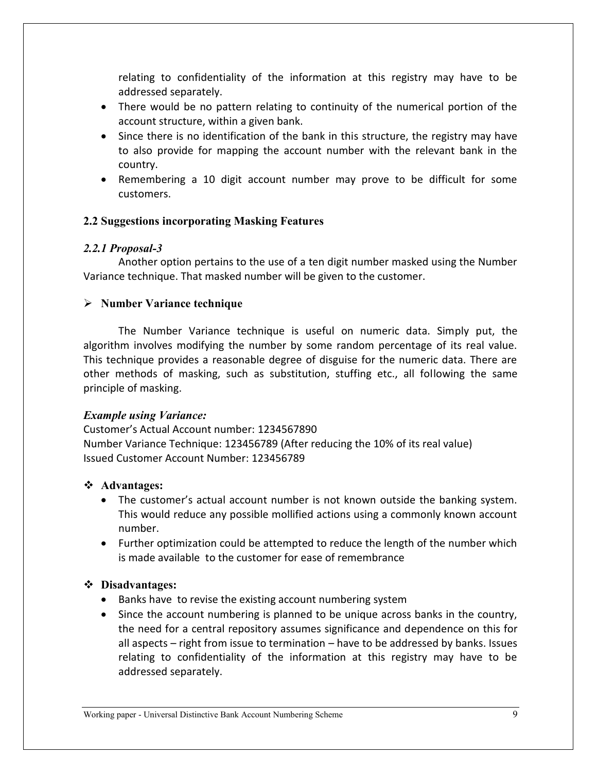relating to confidentiality of the information at this registry may have to be addressed separately.

- There would be no pattern relating to continuity of the numerical portion of the account structure, within a given bank.
- Since there is no identification of the bank in this structure, the registry may have to also provide for mapping the account number with the relevant bank in the country.
- Remembering a 10 digit account number may prove to be difficult for some customers.

## **2.2 Suggestions incorporating Masking Features**

## *2.2.1 Proposal-3*

Another option pertains to the use of a ten digit number masked using the Number Variance technique. That masked number will be given to the customer.

# **Number Variance technique**

The Number Variance technique is useful on numeric data. Simply put, the algorithm involves modifying the number by some random percentage of its real value. This technique provides a reasonable degree of disguise for the numeric data. There are other methods of masking, such as substitution, stuffing etc., all following the same principle of masking.

# *Example using Variance:*

Customer's Actual Account number: 1234567890 Number Variance Technique: 123456789 (After reducing the 10% of its real value) Issued Customer Account Number: 123456789

# **Advantages:**

- The customer's actual account number is not known outside the banking system. This would reduce any possible mollified actions using a commonly known account number.
- Further optimization could be attempted to reduce the length of the number which is made available to the customer for ease of remembrance

- Banks have to revise the existing account numbering system
- Since the account numbering is planned to be unique across banks in the country, the need for a central repository assumes significance and dependence on this for all aspects – right from issue to termination – have to be addressed by banks. Issues relating to confidentiality of the information at this registry may have to be addressed separately.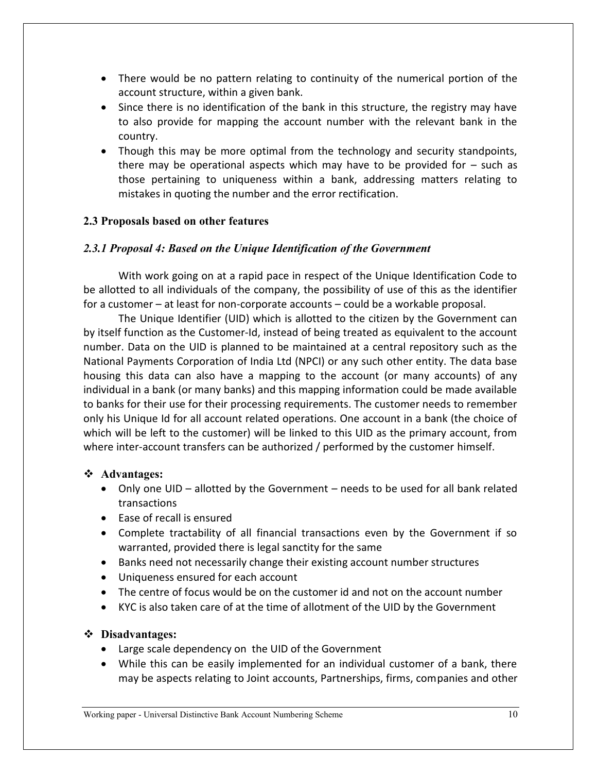- There would be no pattern relating to continuity of the numerical portion of the account structure, within a given bank.
- Since there is no identification of the bank in this structure, the registry may have to also provide for mapping the account number with the relevant bank in the country.
- Though this may be more optimal from the technology and security standpoints, there may be operational aspects which may have to be provided for  $-$  such as those pertaining to uniqueness within a bank, addressing matters relating to mistakes in quoting the number and the error rectification.

## **2.3 Proposals based on other features**

## *2.3.1 Proposal 4: Based on the Unique Identification of the Government*

With work going on at a rapid pace in respect of the Unique Identification Code to be allotted to all individuals of the company, the possibility of use of this as the identifier for a customer – at least for non-corporate accounts – could be a workable proposal.

The Unique Identifier (UID) which is allotted to the citizen by the Government can by itself function as the Customer-Id, instead of being treated as equivalent to the account number. Data on the UID is planned to be maintained at a central repository such as the National Payments Corporation of India Ltd (NPCI) or any such other entity. The data base housing this data can also have a mapping to the account (or many accounts) of any individual in a bank (or many banks) and this mapping information could be made available to banks for their use for their processing requirements. The customer needs to remember only his Unique Id for all account related operations. One account in a bank (the choice of which will be left to the customer) will be linked to this UID as the primary account, from where inter-account transfers can be authorized / performed by the customer himself.

## **Advantages:**

- Only one UID allotted by the Government needs to be used for all bank related transactions
- Fase of recall is ensured
- Complete tractability of all financial transactions even by the Government if so warranted, provided there is legal sanctity for the same
- Banks need not necessarily change their existing account number structures
- Uniqueness ensured for each account
- The centre of focus would be on the customer id and not on the account number
- KYC is also taken care of at the time of allotment of the UID by the Government

- Large scale dependency on the UID of the Government
- While this can be easily implemented for an individual customer of a bank, there may be aspects relating to Joint accounts, Partnerships, firms, companies and other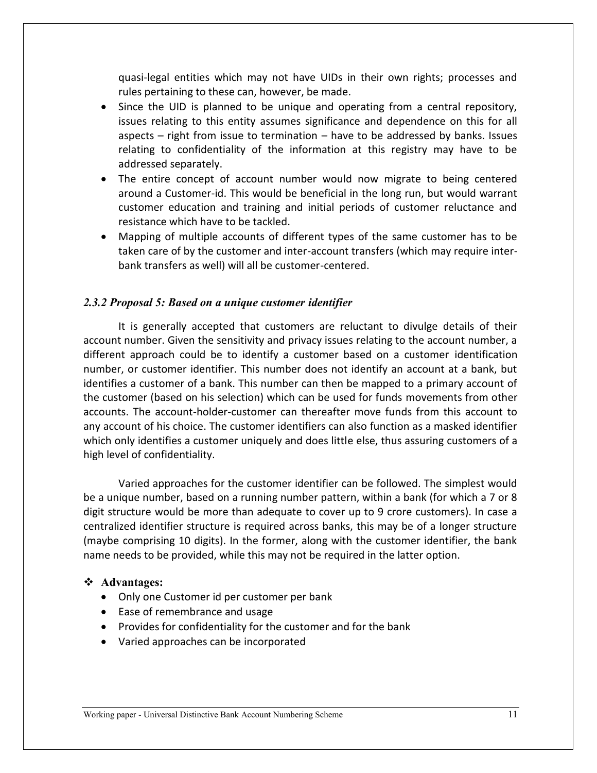quasi-legal entities which may not have UIDs in their own rights; processes and rules pertaining to these can, however, be made.

- Since the UID is planned to be unique and operating from a central repository, issues relating to this entity assumes significance and dependence on this for all aspects – right from issue to termination – have to be addressed by banks. Issues relating to confidentiality of the information at this registry may have to be addressed separately.
- The entire concept of account number would now migrate to being centered around a Customer-id. This would be beneficial in the long run, but would warrant customer education and training and initial periods of customer reluctance and resistance which have to be tackled.
- Mapping of multiple accounts of different types of the same customer has to be taken care of by the customer and inter-account transfers (which may require interbank transfers as well) will all be customer-centered.

#### *2.3.2 Proposal 5: Based on a unique customer identifier*

It is generally accepted that customers are reluctant to divulge details of their account number. Given the sensitivity and privacy issues relating to the account number, a different approach could be to identify a customer based on a customer identification number, or customer identifier. This number does not identify an account at a bank, but identifies a customer of a bank. This number can then be mapped to a primary account of the customer (based on his selection) which can be used for funds movements from other accounts. The account-holder-customer can thereafter move funds from this account to any account of his choice. The customer identifiers can also function as a masked identifier which only identifies a customer uniquely and does little else, thus assuring customers of a high level of confidentiality.

Varied approaches for the customer identifier can be followed. The simplest would be a unique number, based on a running number pattern, within a bank (for which a 7 or 8 digit structure would be more than adequate to cover up to 9 crore customers). In case a centralized identifier structure is required across banks, this may be of a longer structure (maybe comprising 10 digits). In the former, along with the customer identifier, the bank name needs to be provided, while this may not be required in the latter option.

#### **Advantages:**

- Only one Customer id per customer per bank
- Ease of remembrance and usage
- Provides for confidentiality for the customer and for the bank
- Varied approaches can be incorporated